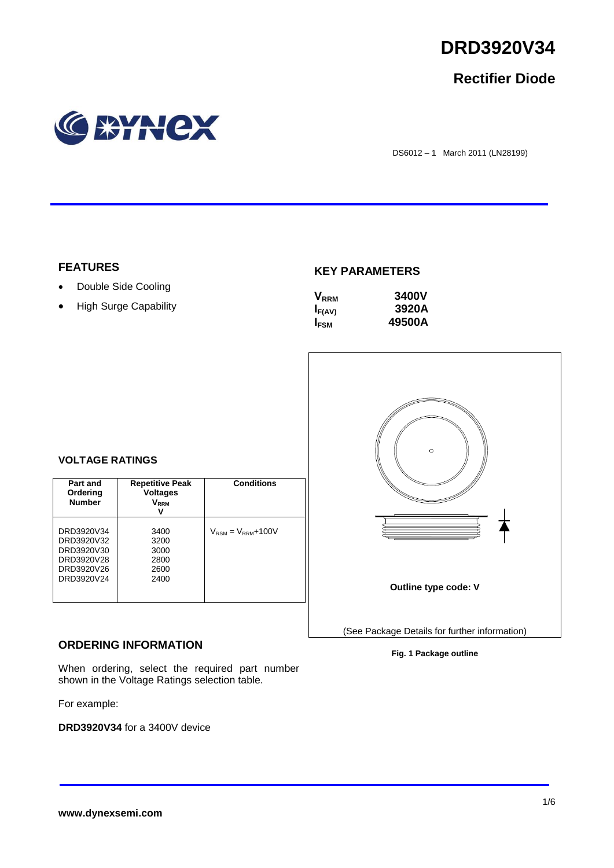

# **Rectifier Diode**



DS6012 – 1 March 2011 (LN28199)

### **FEATURES**

- Double Side Cooling
- High Surge Capability

### **KEY PARAMETERS**

| $\mathsf{V}_{\scriptscriptstyle\sf RRM}$ | <b>3400V</b> |
|------------------------------------------|--------------|
| $I_{F(AV)}$                              | 3920A        |
| <b>IFSM</b>                              | 49500A       |



### **Fig. 1 Package outline**

### **VOLTAGE RATINGS**

| Part and<br>Ordering<br><b>Number</b>                                            | <b>Repetitive Peak</b><br><b>Voltages</b><br>$\mathsf{V}_\mathsf{RRM}$<br>v | <b>Conditions</b>                        |
|----------------------------------------------------------------------------------|-----------------------------------------------------------------------------|------------------------------------------|
| DRD3920V34<br>DRD3920V32<br>DRD3920V30<br>DRD3920V28<br>DRD3920V26<br>DRD3920V24 | 3400<br>3200<br>3000<br>2800<br>2600<br>2400                                | $V_{\text{RSM}} = V_{\text{RRM}} + 100V$ |

## **ORDERING INFORMATION**

When ordering, select the required part number shown in the Voltage Ratings selection table.

For example:

**DRD3920V34** for a 3400V device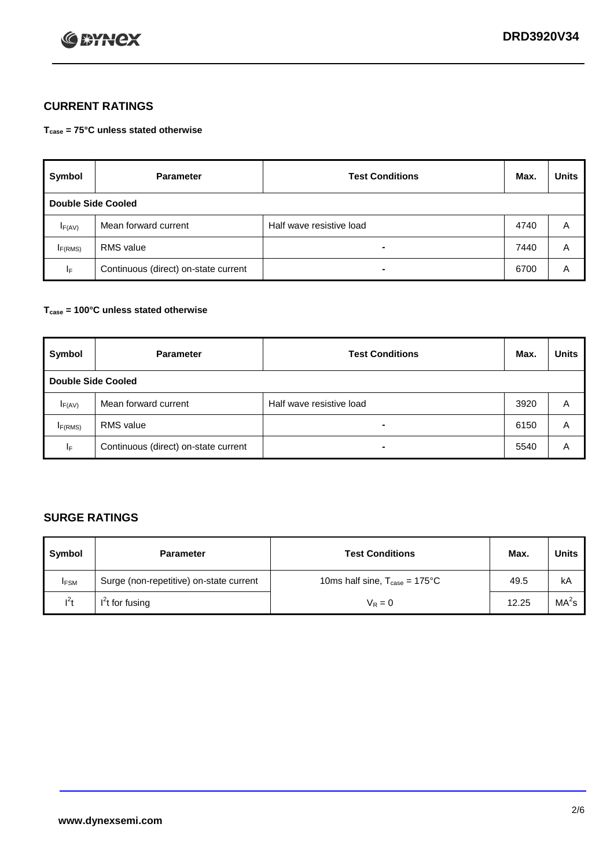

# **CURRENT RATINGS**

**Tcase = 75°C unless stated otherwise**

| Symbol              | <b>Parameter</b>                     | <b>Test Conditions</b>   | Max. | <b>Units</b> |  |  |
|---------------------|--------------------------------------|--------------------------|------|--------------|--|--|
|                     | Double Side Cooled                   |                          |      |              |  |  |
| $I_{F(AV)}$         | Mean forward current                 | Half wave resistive load | 4740 | A            |  |  |
| I <sub>F(RMS)</sub> | <b>RMS</b> value                     | -                        | 7440 | A            |  |  |
| IF.                 | Continuous (direct) on-state current | -                        | 6700 | A            |  |  |

### **Tcase = 100°C unless stated otherwise**

| Symbol                    | <b>Parameter</b>                     | <b>Test Conditions</b>   | Max. | <b>Units</b> |  |
|---------------------------|--------------------------------------|--------------------------|------|--------------|--|
| <b>Double Side Cooled</b> |                                      |                          |      |              |  |
| $I_{F(AV)}$               | Mean forward current                 | Half wave resistive load | 3920 | A            |  |
| I <sub>F(RMS)</sub>       | <b>RMS</b> value                     | $\blacksquare$           | 6150 | A            |  |
| ΙF                        | Continuous (direct) on-state current | ۰                        | 5540 | A            |  |

# **SURGE RATINGS**

| Symbol      | <b>Parameter</b>                        | <b>Test Conditions</b>                            | Max.  | <b>Units</b>      |
|-------------|-----------------------------------------|---------------------------------------------------|-------|-------------------|
| <b>IFSM</b> | Surge (non-repetitive) on-state current | 10ms half sine, $T_{\text{case}} = 175^{\circ}$ C | 49.5  | kA                |
| $l^2t$      | I <sup>'</sup> t for fusing             | $V_R = 0$                                         | 12.25 | MA <sup>2</sup> s |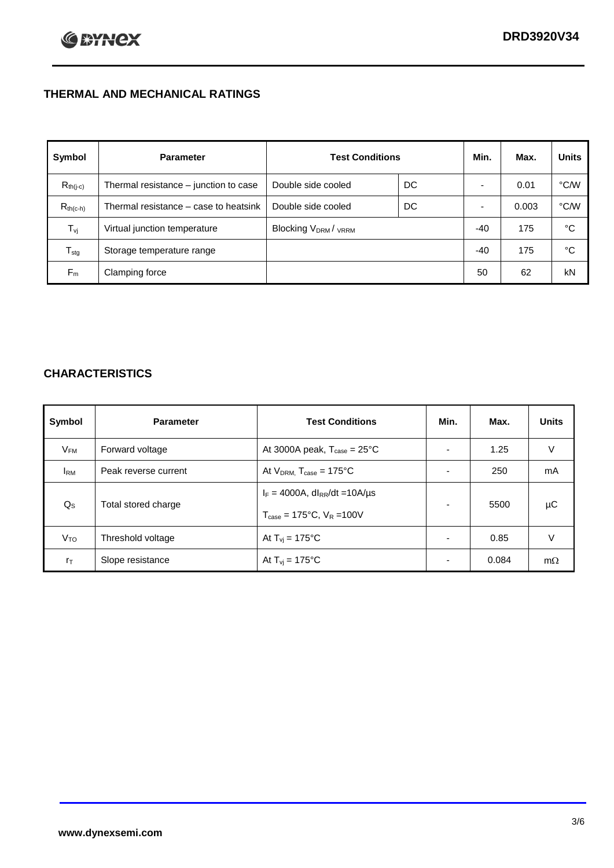# **THERMAL AND MECHANICAL RATINGS**

| Symbol           | <b>Parameter</b>                      | <b>Test Conditions</b>                      |    | Min.  | Max.  | <b>Units</b> |
|------------------|---------------------------------------|---------------------------------------------|----|-------|-------|--------------|
| $R_{th(j-c)}$    | Thermal resistance - junction to case | Double side cooled                          | DC |       | 0.01  | °C/W         |
| $R_{th(c-h)}$    | Thermal resistance – case to heatsink | Double side cooled                          | DC |       | 0.003 | °C/W         |
| $T_{\rm vj}$     | Virtual junction temperature          | Blocking V <sub>DRM</sub> / <sub>VRRM</sub> |    | -40   | 175   | °C           |
| $T_{\text{stg}}$ | Storage temperature range             |                                             |    | $-40$ | 175   | °C           |
| $F_m$            | Clamping force                        |                                             |    | 50    | 62    | kN           |

# **CHARACTERISTICS**

| Symbol                   | <b>Parameter</b>     | <b>Test Conditions</b>                          | Min.           | Max.  | <b>Units</b> |
|--------------------------|----------------------|-------------------------------------------------|----------------|-------|--------------|
| $\mathsf{V}_\mathsf{FM}$ | Forward voltage      | At 3000A peak, $T_{\text{case}} = 25^{\circ}C$  |                | 1.25  | V            |
| <b>I</b> <sub>RM</sub>   | Peak reverse current | At $V_{DRM}$ , $T_{case} = 175^{\circ}C$        | ۰              | 250   | mA           |
| $Q_{\rm S}$              | Total stored charge  | $I_F = 4000A$ , dl <sub>RR</sub> /dt = 10A/us   | ۰              | 5500  | μC           |
|                          |                      | $T_{\text{case}} = 175^{\circ}C$ , $V_R = 100V$ |                |       |              |
| V <sub>TO</sub>          | Threshold voltage    | At $T_{vi} = 175^{\circ}C$                      | $\blacksquare$ | 0.85  | V            |
| $r_{\text{T}}$           | Slope resistance     | At $T_{vi} = 175^{\circ}C$                      | ۰              | 0.084 | $m\Omega$    |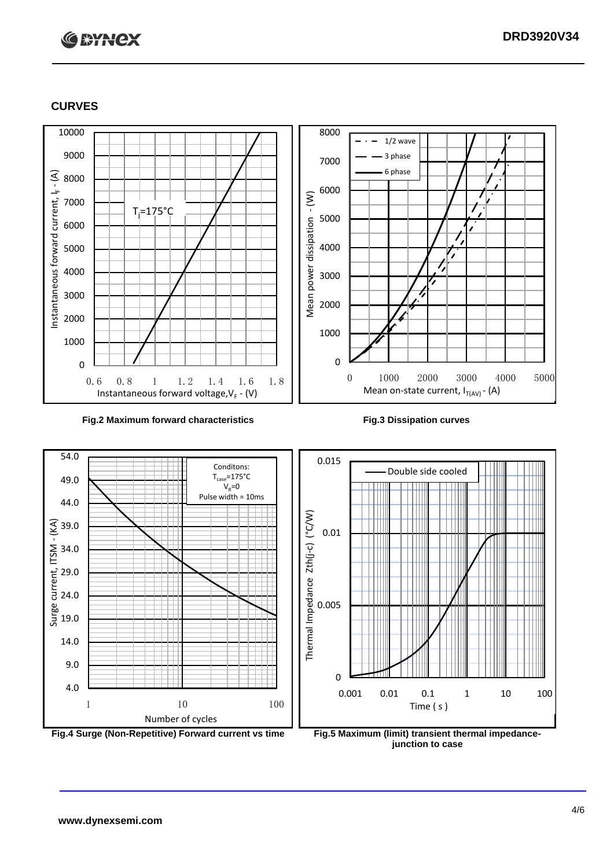# **C BYNCX**

## **CURVES**



### **Fig.2 Maximum forward characteristics Fig.3 Dissipation curves**



**junction to case**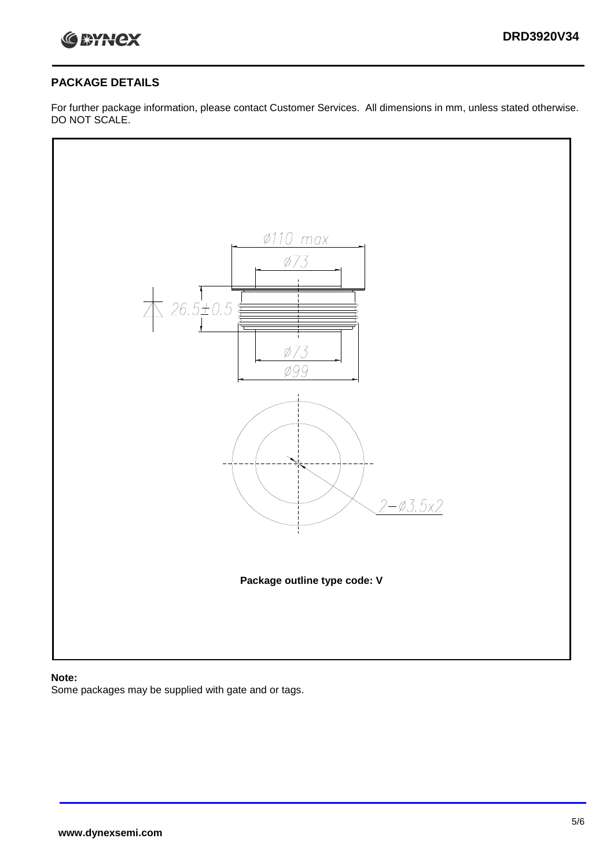

## **PACKAGE DETAILS**

For further package information, please contact Customer Services. All dimensions in mm, unless stated otherwise. DO NOT SCALE.



### **Note:**

Some packages may be supplied with gate and or tags.